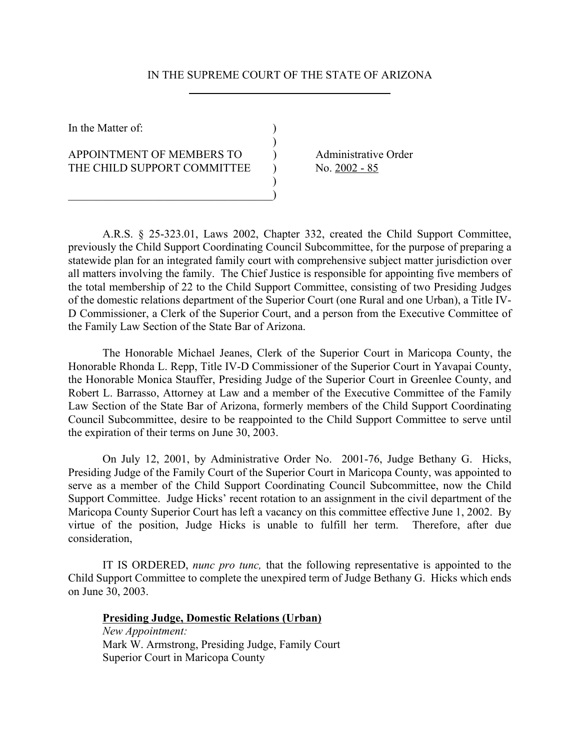### IN THE SUPREME COURT OF THE STATE OF ARIZONA

 $\overline{)}$ 

)

In the Matter of:  $\qquad \qquad$  )

APPOINTMENT OF MEMBERS TO and administrative Order THE CHILD SUPPORT COMMITTEE  $\qquad$  ) No. 2002 - 85

 $\Box$ )

 $\overline{a}$ 

A.R.S. § 25-323.01, Laws 2002, Chapter 332, created the Child Support Committee, previously the Child Support Coordinating Council Subcommittee, for the purpose of preparing a statewide plan for an integrated family court with comprehensive subject matter jurisdiction over all matters involving the family. The Chief Justice is responsible for appointing five members of the total membership of 22 to the Child Support Committee, consisting of two Presiding Judges of the domestic relations department of the Superior Court (one Rural and one Urban), a Title IV-D Commissioner, a Clerk of the Superior Court, and a person from the Executive Committee of the Family Law Section of the State Bar of Arizona.

The Honorable Michael Jeanes, Clerk of the Superior Court in Maricopa County, the Honorable Rhonda L. Repp, Title IV-D Commissioner of the Superior Court in Yavapai County, the Honorable Monica Stauffer, Presiding Judge of the Superior Court in Greenlee County, and Robert L. Barrasso, Attorney at Law and a member of the Executive Committee of the Family Law Section of the State Bar of Arizona, formerly members of the Child Support Coordinating Council Subcommittee, desire to be reappointed to the Child Support Committee to serve until the expiration of their terms on June 30, 2003.

On July 12, 2001, by Administrative Order No. 2001-76, Judge Bethany G. Hicks, Presiding Judge of the Family Court of the Superior Court in Maricopa County, was appointed to serve as a member of the Child Support Coordinating Council Subcommittee, now the Child Support Committee. Judge Hicks' recent rotation to an assignment in the civil department of the Maricopa County Superior Court has left a vacancy on this committee effective June 1, 2002. By virtue of the position, Judge Hicks is unable to fulfill her term. Therefore, after due consideration,

IT IS ORDERED, *nunc pro tunc,* that the following representative is appointed to the Child Support Committee to complete the unexpired term of Judge Bethany G. Hicks which ends on June 30, 2003.

#### **Presiding Judge, Domestic Relations (Urban)**

*New Appointment:* Mark W. Armstrong, Presiding Judge, Family Court Superior Court in Maricopa County